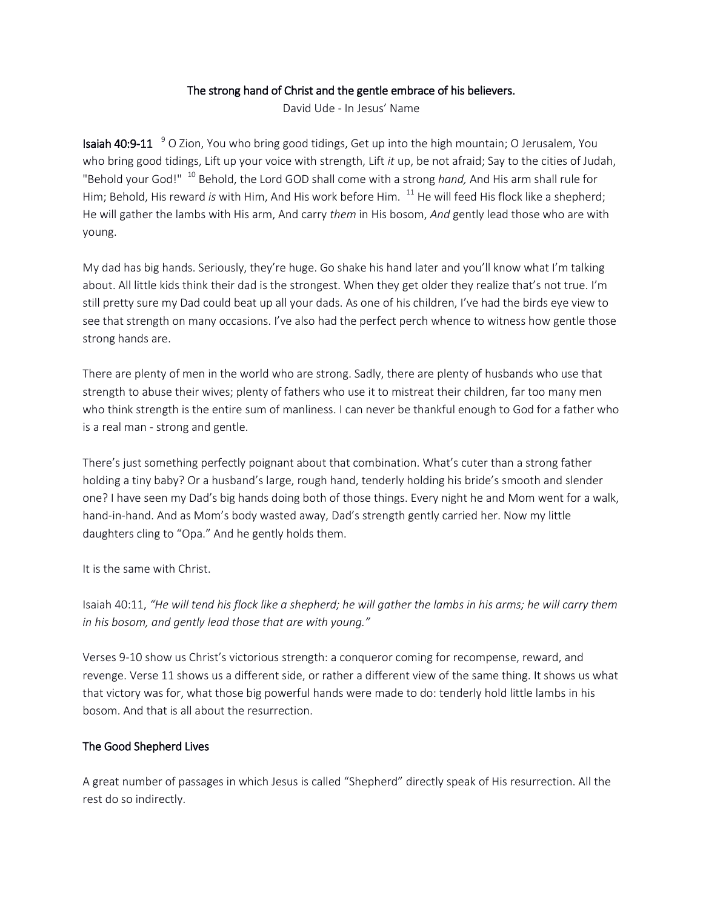## The strong hand of Christ and the gentle embrace of his believers.

David Ude - In Jesus' Name

**Isaiah 40:9-11** <sup>9</sup> O Zion, You who bring good tidings, Get up into the high mountain; O Jerusalem, You who bring good tidings, Lift up your voice with strength, Lift *it* up, be not afraid; Say to the cities of Judah, "Behold your God!" <sup>10</sup> Behold, the Lord GOD shall come with a strong *hand,* And His arm shall rule for Him; Behold, His reward *is* with Him, And His work before Him. <sup>11</sup> He will feed His flock like a shepherd; He will gather the lambs with His arm, And carry *them* in His bosom, *And* gently lead those who are with young.

My dad has big hands. Seriously, they're huge. Go shake his hand later and you'll know what I'm talking about. All little kids think their dad is the strongest. When they get older they realize that's not true. I'm still pretty sure my Dad could beat up all your dads. As one of his children, I've had the birds eye view to see that strength on many occasions. I've also had the perfect perch whence to witness how gentle those strong hands are.

There are plenty of men in the world who are strong. Sadly, there are plenty of husbands who use that strength to abuse their wives; plenty of fathers who use it to mistreat their children, far too many men who think strength is the entire sum of manliness. I can never be thankful enough to God for a father who is a real man - strong and gentle.

There's just something perfectly poignant about that combination. What's cuter than a strong father holding a tiny baby? Or a husband's large, rough hand, tenderly holding his bride's smooth and slender one? I have seen my Dad's big hands doing both of those things. Every night he and Mom went for a walk, hand-in-hand. And as Mom's body wasted away, Dad's strength gently carried her. Now my little daughters cling to "Opa." And he gently holds them.

It is the same with Christ.

Isaiah 40:11, *"He will tend his flock like a shepherd; he will gather the lambs in his arms; he will carry them in his bosom, and gently lead those that are with young."*

Verses 9-10 show us Christ's victorious strength: a conqueror coming for recompense, reward, and revenge. Verse 11 shows us a different side, or rather a different view of the same thing. It shows us what that victory was for, what those big powerful hands were made to do: tenderly hold little lambs in his bosom. And that is all about the resurrection.

## The Good Shepherd Lives

A great number of passages in which Jesus is called "Shepherd" directly speak of His resurrection. All the rest do so indirectly.